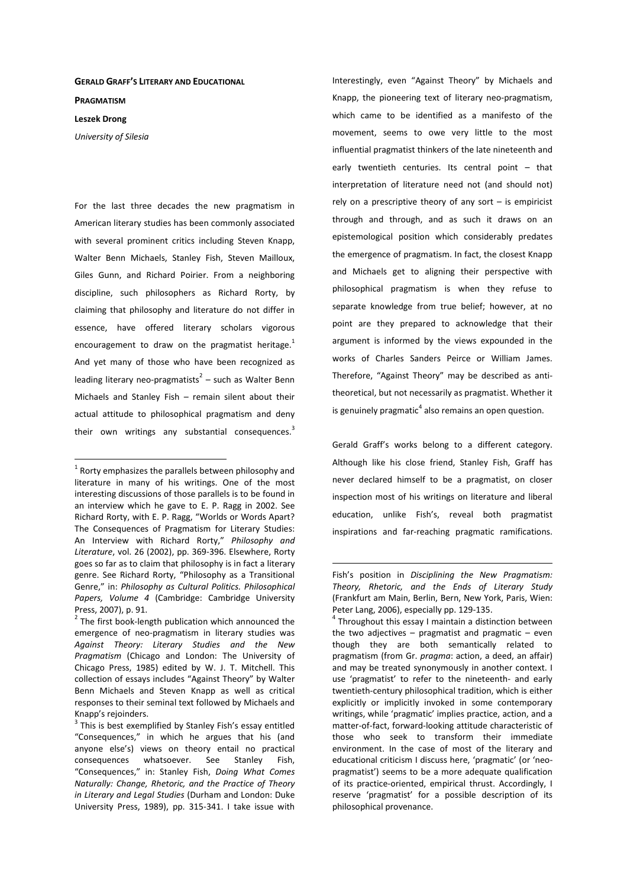## **GERALD GRAFF'S LITERARY AND EDUCATIONAL**

**PRAGMATISM**

## **Leszek Drong**

 $\overline{a}$ 

*University of Silesia* 

For the last three decades the new pragmatism in American literary studies has been commonly associated with several prominent critics including Steven Knapp, Walter Benn Michaels, Stanley Fish, Steven Mailloux, Giles Gunn, and Richard Poirier. From a neighboring discipline, such philosophers as Richard Rorty, by claiming that philosophy and literature do not differ in essence, have offered literary scholars vigorous encouragement to draw on the pragmatist heritage. $1$ And yet many of those who have been recognized as leading literary neo-pragmatists<sup>2</sup> – such as Walter Benn Michaels and Stanley Fish – remain silent about their actual attitude to philosophical pragmatism and deny their own writings any substantial consequences. $3$  Interestingly, even "Against Theory" by Michaels and Knapp, the pioneering text of literary neo-pragmatism, which came to be identified as a manifesto of the movement, seems to owe very little to the most influential pragmatist thinkers of the late nineteenth and early twentieth centuries. Its central point – that interpretation of literature need not (and should not) rely on a prescriptive theory of any sort – is empiricist through and through, and as such it draws on an epistemological position which considerably predates the emergence of pragmatism. In fact, the closest Knapp and Michaels get to aligning their perspective with philosophical pragmatism is when they refuse to separate knowledge from true belief; however, at no point are they prepared to acknowledge that their argument is informed by the views expounded in the works of Charles Sanders Peirce or William James. Therefore, "Against Theory" may be described as antitheoretical, but not necessarily as pragmatist. Whether it is genuinely pragmatic<sup>4</sup> also remains an open question.

Gerald Graff's works belong to a different category. Although like his close friend, Stanley Fish, Graff has never declared himself to be a pragmatist, on closer inspection most of his writings on literature and liberal education, unlike Fish's, reveal both pragmatist inspirations and far-reaching pragmatic ramifications.

 $1$  Rorty emphasizes the parallels between philosophy and literature in many of his writings. One of the most interesting discussions of those parallels is to be found in an interview which he gave to E. P. Ragg in 2002. See Richard Rorty, with E. P. Ragg, "Worlds or Words Apart? The Consequences of Pragmatism for Literary Studies: An Interview with Richard Rorty," *Philosophy and Literature*, vol. 26 (2002), pp. 369-396. Elsewhere, Rorty goes so far as to claim that philosophy is in fact a literary genre. See Richard Rorty, "Philosophy as a Transitional Genre," in: *Philosophy as Cultural Politics. Philosophical Papers, Volume 4* (Cambridge: Cambridge University Press, 2007), p. 91.

 $2$  The first book-length publication which announced the emergence of neo-pragmatism in literary studies was *Against Theory: Literary Studies and the New Pragmatism* (Chicago and London: The University of Chicago Press, 1985) edited by W. J. T. Mitchell. This collection of essays includes "Against Theory" by Walter Benn Michaels and Steven Knapp as well as critical responses to their seminal text followed by Michaels and Knapp's rejoinders.

 $3$  This is best exemplified by Stanley Fish's essay entitled "Consequences," in which he argues that his (and anyone else's) views on theory entail no practical consequences whatsoever. See Stanley Fish, "Consequences," in: Stanley Fish, *Doing What Comes Naturally: Change, Rhetoric, and the Practice of Theory in Literary and Legal Studies* (Durham and London: Duke University Press, 1989), pp. 315-341. I take issue with

Fish's position in *Disciplining the New Pragmatism: Theory, Rhetoric, and the Ends of Literary Study* (Frankfurt am Main, Berlin, Bern, New York, Paris, Wien: Peter Lang, 2006), especially pp. 129-135.

<sup>&</sup>lt;sup>4</sup> Throughout this essay I maintain a distinction between the two adjectives  $-$  pragmatist and pragmatic  $-$  even though they are both semantically related to pragmatism (from Gr. *pragma*: action, a deed, an affair) and may be treated synonymously in another context. I use 'pragmatist' to refer to the nineteenth- and early twentieth-century philosophical tradition, which is either explicitly or implicitly invoked in some contemporary writings, while 'pragmatic' implies practice, action, and a matter-of-fact, forward-looking attitude characteristic of those who seek to transform their immediate environment. In the case of most of the literary and educational criticism I discuss here, 'pragmatic' (or 'neopragmatist') seems to be a more adequate qualification of its practice-oriented, empirical thrust. Accordingly, I reserve 'pragmatist' for a possible description of its philosophical provenance.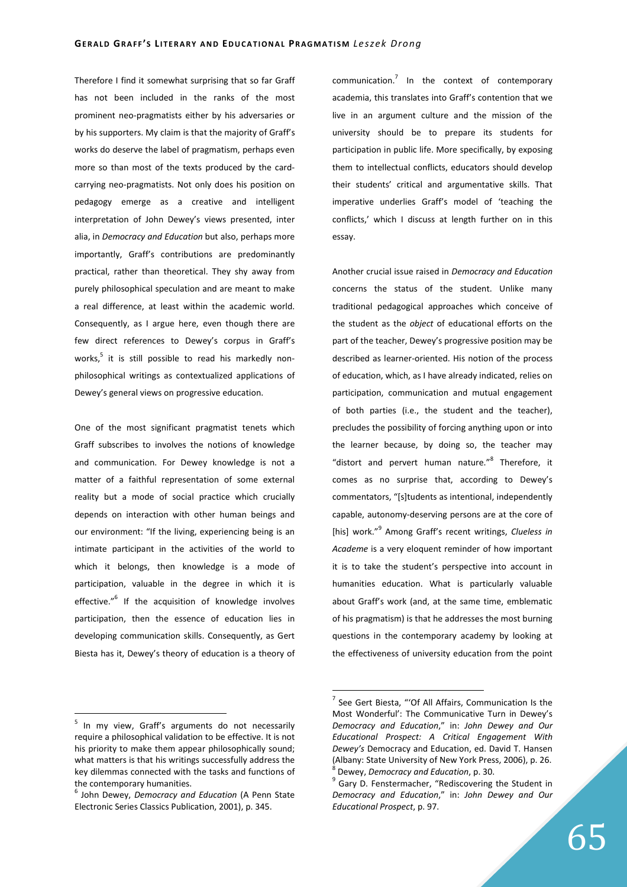Therefore I find it somewhat surprising that so far Graff has not been included in the ranks of the most prominent neo-pragmatists either by his adversaries or by his supporters. My claim is that the majority of Graff's works do deserve the label of pragmatism, perhaps even more so than most of the texts produced by the cardcarrying neo-pragmatists. Not only does his position on pedagogy emerge as a creative and intelligent interpretation of John Dewey's views presented, inter alia, in *Democracy and Education* but also, perhaps more importantly, Graff's contributions are predominantly practical, rather than theoretical. They shy away from purely philosophical speculation and are meant to make a real difference, at least within the academic world. Consequently, as I argue here, even though there are few direct references to Dewey's corpus in Graff's works,<sup>5</sup> it is still possible to read his markedly nonphilosophical writings as contextualized applications of Dewey's general views on progressive education.

One of the most significant pragmatist tenets which Graff subscribes to involves the notions of knowledge and communication. For Dewey knowledge is not a matter of a faithful representation of some external reality but a mode of social practice which crucially depends on interaction with other human beings and our environment: "If the living, experiencing being is an intimate participant in the activities of the world to which it belongs, then knowledge is a mode of participation, valuable in the degree in which it is effective."<sup>6</sup> If the acquisition of knowledge involves participation, then the essence of education lies in developing communication skills. Consequently, as Gert Biesta has it, Dewey's theory of education is a theory of

communication.<sup>7</sup> In the context of contemporary academia, this translates into Graff's contention that we live in an argument culture and the mission of the university should be to prepare its students for participation in public life. More specifically, by exposing them to intellectual conflicts, educators should develop their students' critical and argumentative skills. That imperative underlies Graff's model of 'teaching the conflicts,' which I discuss at length further on in this essay.

Another crucial issue raised in *Democracy and Education* concerns the status of the student. Unlike many traditional pedagogical approaches which conceive of the student as the *object* of educational efforts on the part of the teacher, Dewey's progressive position may be described as learner-oriented. His notion of the process of education, which, as I have already indicated, relies on participation, communication and mutual engagement of both parties (i.e., the student and the teacher), precludes the possibility of forcing anything upon or into the learner because, by doing so, the teacher may "distort and pervert human nature."<sup>8</sup> Therefore, it comes as no surprise that, according to Dewey's commentators, "[s]tudents as intentional, independently capable, autonomy-deserving persons are at the core of [his] work."<sup>9</sup> Among Graff's recent writings, *Clueless in Academe* is a very eloquent reminder of how important it is to take the student's perspective into account in humanities education. What is particularly valuable about Graff's work (and, at the same time, emblematic of his pragmatism) is that he addresses the most burning questions in the contemporary academy by looking at the effectiveness of university education from the point

 5 In my view, Graff's arguments do not necessarily require a philosophical validation to be effective. It is not his priority to make them appear philosophically sound; what matters is that his writings successfully address the key dilemmas connected with the tasks and functions of the contemporary humanities.

<sup>6</sup> John Dewey, *Democracy and Education* (A Penn State Electronic Series Classics Publication, 2001), p. 345.

<sup>&</sup>lt;sup>7</sup> See Gert Biesta, "'Of All Affairs, Communication Is the Most Wonderful': The Communicative Turn in Dewey's *Democracy and Education*," in: *John Dewey and Our Educational Prospect: A Critical Engagement With Dewey's* Democracy and Education, ed. David T. Hansen (Albany: State University of New York Press, 2006), p. 26. 8 Dewey, *Democracy and Education*, p. 30.

<sup>&</sup>lt;sup>9</sup> Gary D. Fenstermacher, "Rediscovering the Student in *Democracy and Education*," in: *John Dewey and Our Educational Prospect*, p. 97.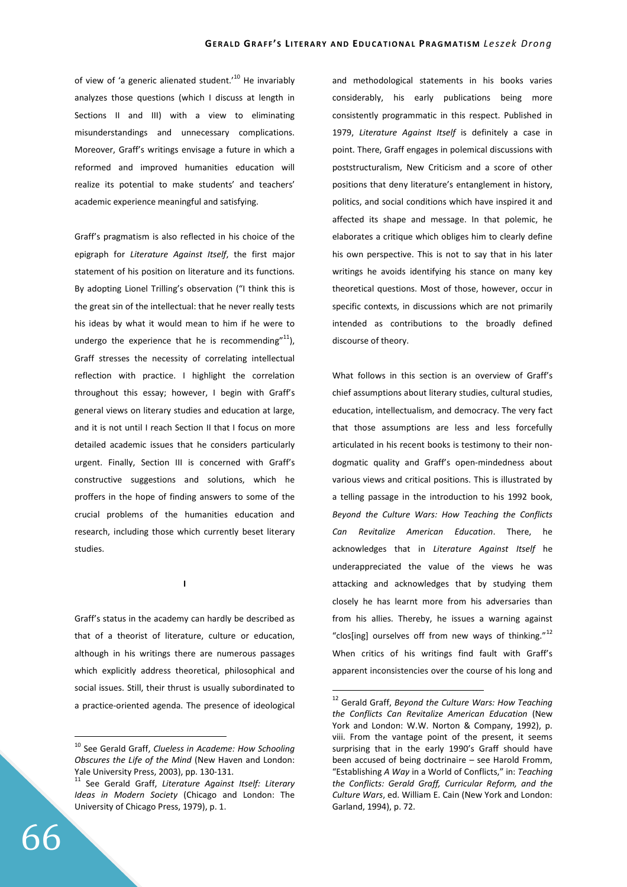of view of 'a generic alienated student.<sup>10</sup> He invariably analyzes those questions (which I discuss at length in Sections II and III) with a view to eliminating misunderstandings and unnecessary complications. Moreover, Graff's writings envisage a future in which a reformed and improved humanities education will realize its potential to make students' and teachers' academic experience meaningful and satisfying.

Graff's pragmatism is also reflected in his choice of the epigraph for *Literature Against Itself*, the first major statement of his position on literature and its functions. By adopting Lionel Trilling's observation ("I think this is the great sin of the intellectual: that he never really tests his ideas by what it would mean to him if he were to undergo the experience that he is recommending $^{\prime\prime}^{11}$ ), Graff stresses the necessity of correlating intellectual reflection with practice. I highlight the correlation throughout this essay; however, I begin with Graff's general views on literary studies and education at large, and it is not until I reach Section II that I focus on more detailed academic issues that he considers particularly urgent. Finally, Section III is concerned with Graff's constructive suggestions and solutions, which he proffers in the hope of finding answers to some of the crucial problems of the humanities education and research, including those which currently beset literary studies.

**I** 

Graff's status in the academy can hardly be described as that of a theorist of literature, culture or education, although in his writings there are numerous passages which explicitly address theoretical, philosophical and social issues. Still, their thrust is usually subordinated to a practice-oriented agenda. The presence of ideological and methodological statements in his books varies considerably, his early publications being more consistently programmatic in this respect. Published in 1979, *Literature Against Itself* is definitely a case in point. There, Graff engages in polemical discussions with poststructuralism, New Criticism and a score of other positions that deny literature's entanglement in history, politics, and social conditions which have inspired it and affected its shape and message. In that polemic, he elaborates a critique which obliges him to clearly define his own perspective. This is not to say that in his later writings he avoids identifying his stance on many key theoretical questions. Most of those, however, occur in specific contexts, in discussions which are not primarily intended as contributions to the broadly defined discourse of theory.

What follows in this section is an overview of Graff's chief assumptions about literary studies, cultural studies, education, intellectualism, and democracy. The very fact that those assumptions are less and less forcefully articulated in his recent books is testimony to their nondogmatic quality and Graff's open-mindedness about various views and critical positions. This is illustrated by a telling passage in the introduction to his 1992 book, *Beyond the Culture Wars: How Teaching the Conflicts Can Revitalize American Education*. There, he acknowledges that in *Literature Against Itself* he underappreciated the value of the views he was attacking and acknowledges that by studying them closely he has learnt more from his adversaries than from his allies. Thereby, he issues a warning against "clos[ing] ourselves off from new ways of thinking."<sup>12</sup> When critics of his writings find fault with Graff's apparent inconsistencies over the course of his long and

 $\overline{a}$ 

<sup>10</sup> See Gerald Graff, *Clueless in Academe: How Schooling Obscures the Life of the Mind* (New Haven and London: Yale University Press, 2003), pp. 130-131.

<sup>11</sup> See Gerald Graff, *Literature Against Itself: Literary Ideas in Modern Society* (Chicago and London: The University of Chicago Press, 1979), p. 1.

<sup>12</sup> Gerald Graff, *Beyond the Culture Wars: How Teaching the Conflicts Can Revitalize American Education* (New York and London: W.W. Norton & Company, 1992), p. viii. From the vantage point of the present, it seems surprising that in the early 1990's Graff should have been accused of being doctrinaire – see Harold Fromm, "Establishing *A Way* in a World of Conflicts," in: *Teaching the Conflicts: Gerald Graff, Curricular Reform, and the Culture Wars*, ed. William E. Cain (New York and London: Garland, 1994), p. 72.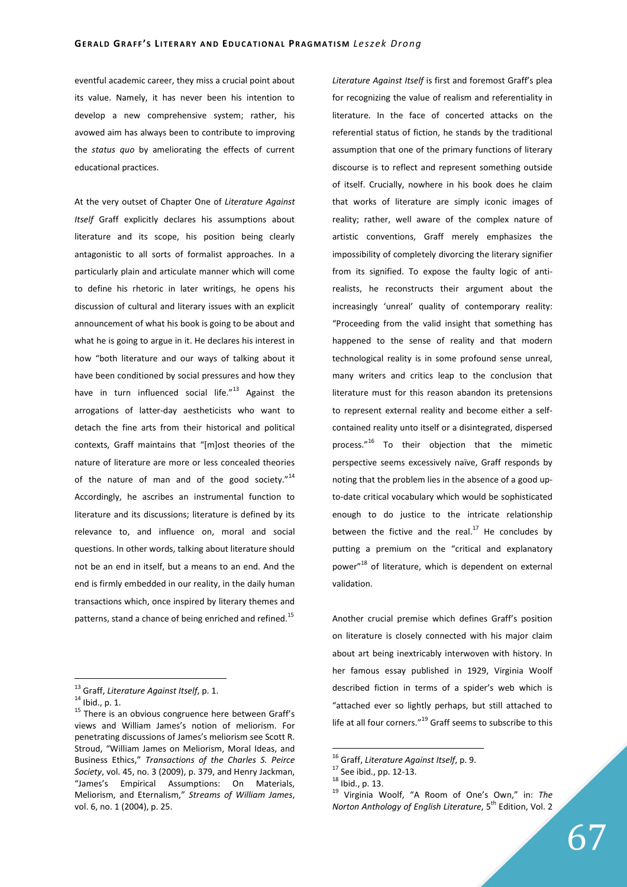eventful academic career, they miss a crucial point about its value. Namely, it has never been his intention to develop a new comprehensive system; rather, his avowed aim has always been to contribute to improving the *status quo* by ameliorating the effects of current educational practices.

At the very outset of Chapter One of *Literature Against Itself* Graff explicitly declares his assumptions about literature and its scope, his position being clearly antagonistic to all sorts of formalist approaches. In a particularly plain and articulate manner which will come to define his rhetoric in later writings, he opens his discussion of cultural and literary issues with an explicit announcement of what his book is going to be about and what he is going to argue in it. He declares his interest in how "both literature and our ways of talking about it have been conditioned by social pressures and how they have in turn influenced social life."<sup>13</sup> Against the arrogations of latter-day aestheticists who want to detach the fine arts from their historical and political contexts, Graff maintains that "[m]ost theories of the nature of literature are more or less concealed theories of the nature of man and of the good society. $14$ Accordingly, he ascribes an instrumental function to literature and its discussions; literature is defined by its relevance to, and influence on, moral and social questions. In other words, talking about literature should not be an end in itself, but a means to an end. And the end is firmly embedded in our reality, in the daily human transactions which, once inspired by literary themes and patterns, stand a chance of being enriched and refined.<sup>15</sup>

 $\overline{a}$ 

*Literature Against Itself* is first and foremost Graff's plea for recognizing the value of realism and referentiality in literature. In the face of concerted attacks on the referential status of fiction, he stands by the traditional assumption that one of the primary functions of literary discourse is to reflect and represent something outside of itself. Crucially, nowhere in his book does he claim that works of literature are simply iconic images of reality; rather, well aware of the complex nature of artistic conventions, Graff merely emphasizes the impossibility of completely divorcing the literary signifier from its signified. To expose the faulty logic of antirealists, he reconstructs their argument about the increasingly 'unreal' quality of contemporary reality: "Proceeding from the valid insight that something has happened to the sense of reality and that modern technological reality is in some profound sense unreal, many writers and critics leap to the conclusion that literature must for this reason abandon its pretensions to represent external reality and become either a selfcontained reality unto itself or a disintegrated, dispersed process."<sup>16</sup> To their objection that the mimetic perspective seems excessively naïve, Graff responds by noting that the problem lies in the absence of a good upto-date critical vocabulary which would be sophisticated enough to do justice to the intricate relationship between the fictive and the real.<sup>17</sup> He concludes by putting a premium on the "critical and explanatory power"<sup>18</sup> of literature, which is dependent on external validation.

Another crucial premise which defines Graff's position on literature is closely connected with his major claim about art being inextricably interwoven with history. In her famous essay published in 1929, Virginia Woolf described fiction in terms of a spider's web which is "attached ever so lightly perhaps, but still attached to life at all four corners."<sup>19</sup> Graff seems to subscribe to this

<sup>13</sup> Graff, *Literature Against Itself*, p. 1.

 $14$  Ibid., p. 1.

 $15$  There is an obvious congruence here between Graff's views and William James's notion of meliorism. For penetrating discussions of James's meliorism see Scott R. Stroud, "William James on Meliorism, Moral Ideas, and Business Ethics," *Transactions of the Charles S. Peirce Society*, vol. 45, no. 3 (2009), p. 379, and Henry Jackman, "James's Empirical Assumptions: On Materials, Meliorism, and Eternalism," *Streams of William James*, vol. 6, no. 1 (2004), p. 25.

<sup>16</sup> Graff, *Literature Against Itself*, p. 9.

<sup>17</sup> See ibid., pp. 12-13.

 $^{18}$  Ibid., p. 13.

<sup>19</sup> Virginia Woolf, "A Room of One's Own," in: *The Norton Anthology of English Literature*, 5<sup>th</sup> Edition, Vol. 2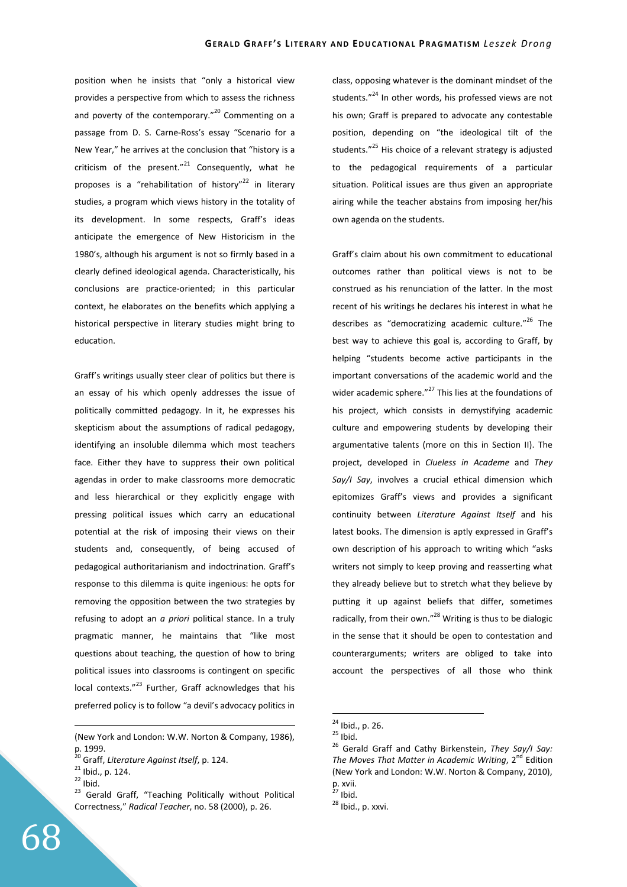position when he insists that "only a historical view provides a perspective from which to assess the richness and poverty of the contemporary." $^{20}$  Commenting on a passage from D. S. Carne-Ross's essay "Scenario for a New Year," he arrives at the conclusion that "history is a criticism of the present." $^{21}$  Consequently, what he proposes is a "rehabilitation of history"<sup>22</sup> in literary studies, a program which views history in the totality of its development. In some respects, Graff's ideas anticipate the emergence of New Historicism in the 1980's, although his argument is not so firmly based in a clearly defined ideological agenda. Characteristically, his conclusions are practice-oriented; in this particular context, he elaborates on the benefits which applying a historical perspective in literary studies might bring to education.

Graff's writings usually steer clear of politics but there is an essay of his which openly addresses the issue of politically committed pedagogy. In it, he expresses his skepticism about the assumptions of radical pedagogy, identifying an insoluble dilemma which most teachers face. Either they have to suppress their own political agendas in order to make classrooms more democratic and less hierarchical or they explicitly engage with pressing political issues which carry an educational potential at the risk of imposing their views on their students and, consequently, of being accused of pedagogical authoritarianism and indoctrination. Graff's response to this dilemma is quite ingenious: he opts for removing the opposition between the two strategies by refusing to adopt an *a priori* political stance. In a truly pragmatic manner, he maintains that "like most questions about teaching, the question of how to bring political issues into classrooms is contingent on specific local contexts."<sup>23</sup> Further, Graff acknowledges that his preferred policy is to follow "a devil's advocacy politics in

<u>.</u>

class, opposing whatever is the dominant mindset of the students."<sup>24</sup> In other words, his professed views are not his own; Graff is prepared to advocate any contestable position, depending on "the ideological tilt of the students."<sup>25</sup> His choice of a relevant strategy is adjusted to the pedagogical requirements of a particular situation. Political issues are thus given an appropriate airing while the teacher abstains from imposing her/his own agenda on the students.

Graff's claim about his own commitment to educational outcomes rather than political views is not to be construed as his renunciation of the latter. In the most recent of his writings he declares his interest in what he describes as "democratizing academic culture."<sup>26</sup> The best way to achieve this goal is, according to Graff, by helping "students become active participants in the important conversations of the academic world and the wider academic sphere." $^{27}$  This lies at the foundations of his project, which consists in demystifying academic culture and empowering students by developing their argumentative talents (more on this in Section II). The project, developed in *Clueless in Academe* and *They Say/I Say*, involves a crucial ethical dimension which epitomizes Graff's views and provides a significant continuity between *Literature Against Itself* and his latest books. The dimension is aptly expressed in Graff's own description of his approach to writing which "asks writers not simply to keep proving and reasserting what they already believe but to stretch what they believe by putting it up against beliefs that differ, sometimes radically, from their own." $^{28}$  Writing is thus to be dialogic in the sense that it should be open to contestation and counterarguments; writers are obliged to take into account the perspectives of all those who think

<sup>(</sup>New York and London: W.W. Norton & Company, 1986), p. 1999.

<sup>20</sup> Graff, *Literature Against Itself*, p. 124.

 $21$  Ibid., p. 124.

 $22$  Ibid.

<sup>&</sup>lt;sup>23</sup> Gerald Graff, "Teaching Politically without Political Correctness," *Radical Teacher*, no. 58 (2000), p. 26.

<sup>&</sup>lt;sup>24</sup> Ibid., p. 26.

 $25$  Ibid.

<sup>26</sup> Gerald Graff and Cathy Birkenstein, *They Say/I Say:*  The Moves That Matter in Academic Writing, 2<sup>nd</sup> Edition (New York and London: W.W. Norton & Company, 2010), p. xvii.

 $27$  Ibid.

<sup>28</sup> Ibid., p. xxvi.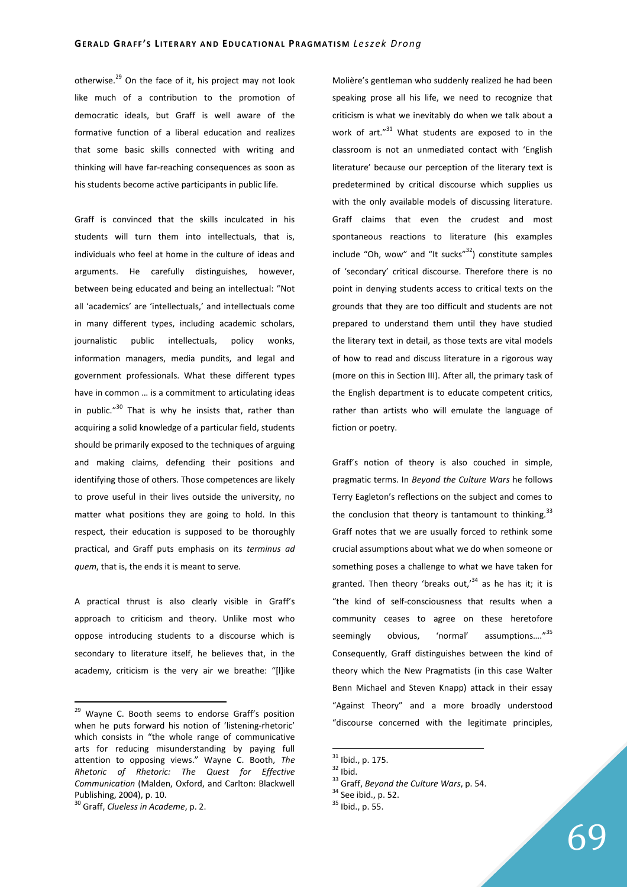otherwise. $^{29}$  On the face of it, his project may not look like much of a contribution to the promotion of democratic ideals, but Graff is well aware of the formative function of a liberal education and realizes that some basic skills connected with writing and thinking will have far-reaching consequences as soon as his students become active participants in public life.

Graff is convinced that the skills inculcated in his students will turn them into intellectuals, that is, individuals who feel at home in the culture of ideas and arguments. He carefully distinguishes, however, between being educated and being an intellectual: "Not all 'academics' are 'intellectuals,' and intellectuals come in many different types, including academic scholars, journalistic public intellectuals, policy wonks, information managers, media pundits, and legal and government professionals. What these different types have in common … is a commitment to articulating ideas in public. $130$  That is why he insists that, rather than acquiring a solid knowledge of a particular field, students should be primarily exposed to the techniques of arguing and making claims, defending their positions and identifying those of others. Those competences are likely to prove useful in their lives outside the university, no matter what positions they are going to hold. In this respect, their education is supposed to be thoroughly practical, and Graff puts emphasis on its *terminus ad quem*, that is, the ends it is meant to serve.

A practical thrust is also clearly visible in Graff's approach to criticism and theory. Unlike most who oppose introducing students to a discourse which is secondary to literature itself, he believes that, in the academy, criticism is the very air we breathe: "[l]ike

 $\overline{a}$ 

Molière's gentleman who suddenly realized he had been speaking prose all his life, we need to recognize that criticism is what we inevitably do when we talk about a work of art."<sup>31</sup> What students are exposed to in the classroom is not an unmediated contact with 'English literature' because our perception of the literary text is predetermined by critical discourse which supplies us with the only available models of discussing literature. Graff claims that even the crudest and most spontaneous reactions to literature (his examples include "Oh, wow" and "It sucks" $32$ ) constitute samples of 'secondary' critical discourse. Therefore there is no point in denying students access to critical texts on the grounds that they are too difficult and students are not prepared to understand them until they have studied the literary text in detail, as those texts are vital models of how to read and discuss literature in a rigorous way (more on this in Section III). After all, the primary task of the English department is to educate competent critics, rather than artists who will emulate the language of fiction or poetry.

Graff's notion of theory is also couched in simple, pragmatic terms. In *Beyond the Culture Wars* he follows Terry Eagleton's reflections on the subject and comes to the conclusion that theory is tantamount to thinking.<sup>33</sup> Graff notes that we are usually forced to rethink some crucial assumptions about what we do when someone or something poses a challenge to what we have taken for granted. Then theory 'breaks out.<sup>34</sup> as he has it; it is "the kind of self-consciousness that results when a community ceases to agree on these heretofore seemingly obvious, 'normal' assumptions...."<sup>35</sup> Consequently, Graff distinguishes between the kind of theory which the New Pragmatists (in this case Walter Benn Michael and Steven Knapp) attack in their essay "Against Theory" and a more broadly understood "discourse concerned with the legitimate principles,

<sup>&</sup>lt;sup>29</sup> Wayne C. Booth seems to endorse Graff's position when he puts forward his notion of 'listening-rhetoric' which consists in "the whole range of communicative arts for reducing misunderstanding by paying full attention to opposing views." Wayne C. Booth, *The Rhetoric of Rhetoric: The Quest for Effective Communication* (Malden, Oxford, and Carlton: Blackwell Publishing, 2004), p. 10.

<sup>30</sup> Graff, *Clueless in Academe*, p. 2.

 $31$  Ibid., p. 175.

 $32$  Ibid.

<sup>33</sup> Graff, *Beyond the Culture Wars*, p. 54.

 $34$  See ibid., p. 52.

<sup>35</sup> Ibid., p. 55.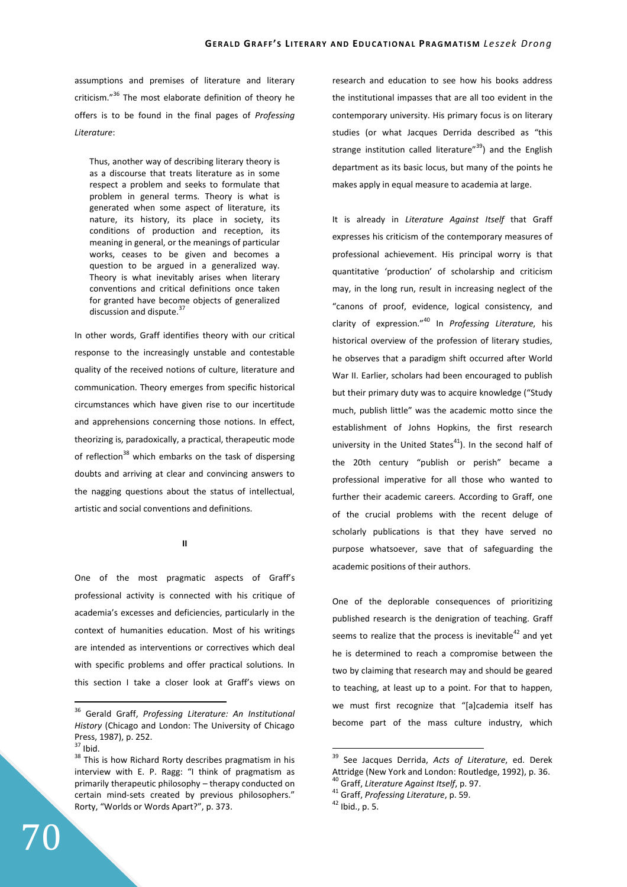assumptions and premises of literature and literary criticism."<sup>36</sup> The most elaborate definition of theory he offers is to be found in the final pages of *Professing Literature*:

Thus, another way of describing literary theory is as a discourse that treats literature as in some respect a problem and seeks to formulate that problem in general terms. Theory is what is generated when some aspect of literature, its nature, its history, its place in society, its conditions of production and reception, its meaning in general, or the meanings of particular works, ceases to be given and becomes a question to be argued in a generalized way. Theory is what inevitably arises when literary conventions and critical definitions once taken for granted have become objects of generalized discussion and dispute.<sup>37</sup>

In other words, Graff identifies theory with our critical response to the increasingly unstable and contestable quality of the received notions of culture, literature and communication. Theory emerges from specific historical circumstances which have given rise to our incertitude and apprehensions concerning those notions. In effect, theorizing is, paradoxically, a practical, therapeutic mode of reflection<sup>38</sup> which embarks on the task of dispersing doubts and arriving at clear and convincing answers to the nagging questions about the status of intellectual, artistic and social conventions and definitions.

**II** 

One of the most pragmatic aspects of Graff's professional activity is connected with his critique of academia's excesses and deficiencies, particularly in the context of humanities education. Most of his writings are intended as interventions or correctives which deal with specific problems and offer practical solutions. In this section I take a closer look at Graff's views on

 $\overline{a}$ 

70

research and education to see how his books address the institutional impasses that are all too evident in the contemporary university. His primary focus is on literary studies (or what Jacques Derrida described as "this strange institution called literature"<sup>39</sup>) and the English department as its basic locus, but many of the points he makes apply in equal measure to academia at large.

It is already in *Literature Against Itself* that Graff expresses his criticism of the contemporary measures of professional achievement. His principal worry is that quantitative 'production' of scholarship and criticism may, in the long run, result in increasing neglect of the "canons of proof, evidence, logical consistency, and clarity of expression."<sup>40</sup> In *Professing Literature*, his historical overview of the profession of literary studies, he observes that a paradigm shift occurred after World War II. Earlier, scholars had been encouraged to publish but their primary duty was to acquire knowledge ("Study much, publish little" was the academic motto since the establishment of Johns Hopkins, the first research university in the United States $41$ ). In the second half of the 20th century "publish or perish" became a professional imperative for all those who wanted to further their academic careers. According to Graff, one of the crucial problems with the recent deluge of scholarly publications is that they have served no purpose whatsoever, save that of safeguarding the academic positions of their authors.

One of the deplorable consequences of prioritizing published research is the denigration of teaching. Graff seems to realize that the process is inevitable<sup>42</sup> and yet he is determined to reach a compromise between the two by claiming that research may and should be geared to teaching, at least up to a point. For that to happen, we must first recognize that "[a]cademia itself has become part of the mass culture industry, which

<sup>36</sup> Gerald Graff, *Professing Literature: An Institutional History* (Chicago and London: The University of Chicago Press, 1987), p. 252.

 $37$  Ibid.

<sup>&</sup>lt;sup>38</sup> This is how Richard Rorty describes pragmatism in his interview with E. P. Ragg: "I think of pragmatism as primarily therapeutic philosophy – therapy conducted on certain mind-sets created by previous philosophers." Rorty, "Worlds or Words Apart?", p. 373.

<sup>39</sup> See Jacques Derrida, *Acts of Literature*, ed. Derek Attridge (New York and London: Routledge, 1992), p. 36. <sup>40</sup> Graff, *Literature Against Itself*, p. 97.

<sup>41</sup> Graff, *Professing Literature*, p. 59.

 $42$  Ibid., p. 5.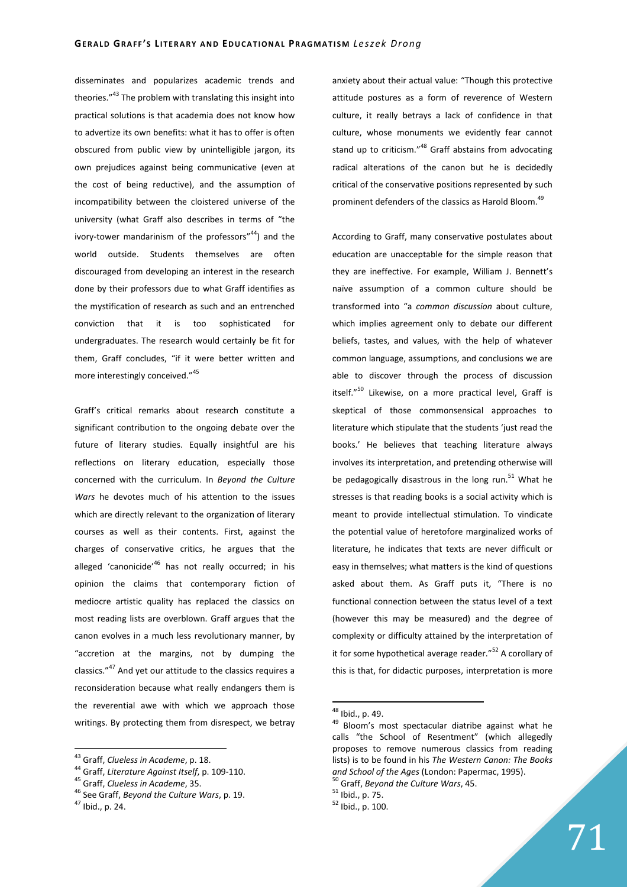disseminates and popularizes academic trends and theories."<sup>43</sup> The problem with translating this insight into practical solutions is that academia does not know how to advertize its own benefits: what it has to offer is often obscured from public view by unintelligible jargon, its own prejudices against being communicative (even at the cost of being reductive), and the assumption of incompatibility between the cloistered universe of the university (what Graff also describes in terms of "the ivory-tower mandarinism of the professors" $44$ ) and the world outside. Students themselves are often discouraged from developing an interest in the research done by their professors due to what Graff identifies as the mystification of research as such and an entrenched conviction that it is too sophisticated for undergraduates. The research would certainly be fit for them, Graff concludes, "if it were better written and more interestingly conceived."<sup>45</sup>

Graff's critical remarks about research constitute a significant contribution to the ongoing debate over the future of literary studies. Equally insightful are his reflections on literary education, especially those concerned with the curriculum. In *Beyond the Culture Wars* he devotes much of his attention to the issues which are directly relevant to the organization of literary courses as well as their contents. First, against the charges of conservative critics, he argues that the alleged 'canonicide'<sup>46</sup> has not really occurred; in his opinion the claims that contemporary fiction of mediocre artistic quality has replaced the classics on most reading lists are overblown. Graff argues that the canon evolves in a much less revolutionary manner, by "accretion at the margins, not by dumping the classics."<sup>47</sup> And yet our attitude to the classics requires a reconsideration because what really endangers them is the reverential awe with which we approach those writings. By protecting them from disrespect, we betray

 $\overline{a}$ 

anxiety about their actual value: "Though this protective attitude postures as a form of reverence of Western culture, it really betrays a lack of confidence in that culture, whose monuments we evidently fear cannot stand up to criticism."<sup>48</sup> Graff abstains from advocating radical alterations of the canon but he is decidedly critical of the conservative positions represented by such prominent defenders of the classics as Harold Bloom.<sup>49</sup>

According to Graff, many conservative postulates about education are unacceptable for the simple reason that they are ineffective. For example, William J. Bennett's naïve assumption of a common culture should be transformed into "a *common discussion* about culture, which implies agreement only to debate our different beliefs, tastes, and values, with the help of whatever common language, assumptions, and conclusions we are able to discover through the process of discussion itself."<sup>50</sup> Likewise, on a more practical level, Graff is skeptical of those commonsensical approaches to literature which stipulate that the students 'just read the books.' He believes that teaching literature always involves its interpretation, and pretending otherwise will be pedagogically disastrous in the long run.<sup>51</sup> What he stresses is that reading books is a social activity which is meant to provide intellectual stimulation. To vindicate the potential value of heretofore marginalized works of literature, he indicates that texts are never difficult or easy in themselves; what matters is the kind of questions asked about them. As Graff puts it, "There is no functional connection between the status level of a text (however this may be measured) and the degree of complexity or difficulty attained by the interpretation of it for some hypothetical average reader."<sup>52</sup> A corollary of this is that, for didactic purposes, interpretation is more

<sup>43</sup> Graff, *Clueless in Academe*, p. 18.

<sup>44</sup> Graff, *Literature Against Itself*, p. 109-110.

<sup>45</sup> Graff, *Clueless in Academe*, 35.

<sup>46</sup> See Graff, *Beyond the Culture Wars*, p. 19.

<sup>47</sup> Ibid., p. 24.

<sup>48</sup> Ibid., p. 49.

<sup>49</sup> Bloom's most spectacular diatribe against what he calls "the School of Resentment" (which allegedly proposes to remove numerous classics from reading lists) is to be found in his *The Western Canon: The Books and School of the Ages* (London: Papermac, 1995).

<sup>50</sup> Graff, *Beyond the Culture Wars*, 45.

<sup>51</sup> Ibid., p. 75.

<sup>52</sup> Ibid., p. 100.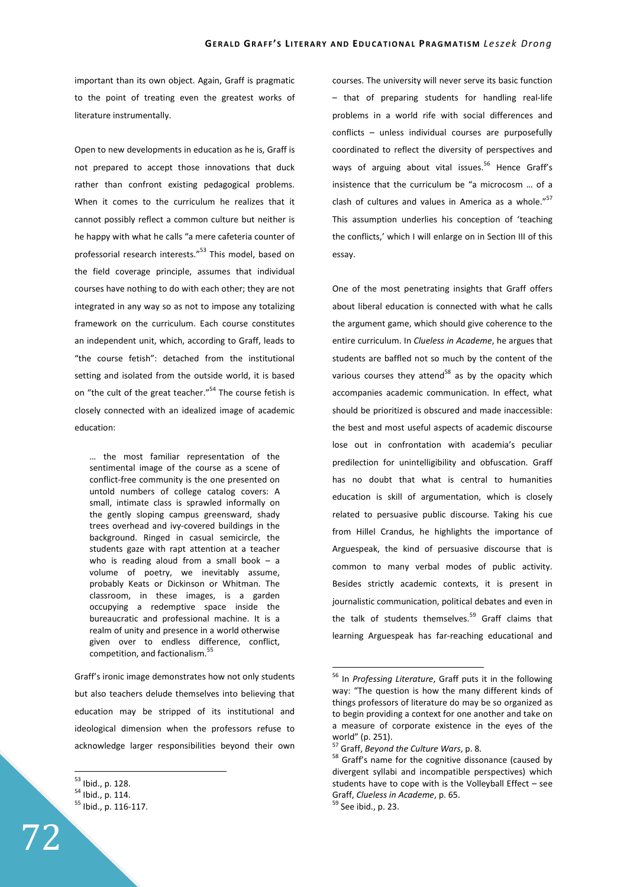important than its own object. Again, Graff is pragmatic to the point of treating even the greatest works of literature instrumentally.

Open to new developments in education as he is, Graff is not prepared to accept those innovations that duck rather than confront existing pedagogical problems. When it comes to the curriculum he realizes that it cannot possibly reflect a common culture but neither is he happy with what he calls "a mere cafeteria counter of professorial research interests."<sup>53</sup> This model, based on the field coverage principle, assumes that individual courses have nothing to do with each other; they are not integrated in any way so as not to impose any totalizing framework on the curriculum. Each course constitutes an independent unit, which, according to Graff, leads to "the course fetish": detached from the institutional setting and isolated from the outside world, it is based on "the cult of the great teacher."<sup>54</sup> The course fetish is closely connected with an idealized image of academic education:

… the most familiar representation of the sentimental image of the course as a scene of conflict-free community is the one presented on untold numbers of college catalog covers: A small, intimate class is sprawled informally on the gently sloping campus greensward, shady trees overhead and ivy-covered buildings in the background. Ringed in casual semicircle, the students gaze with rapt attention at a teacher who is reading aloud from a small book  $-$  a volume of poetry, we inevitably assume, probably Keats or Dickinson or Whitman. The classroom, in these images, is a garden occupying a redemptive space inside the bureaucratic and professional machine. It is a realm of unity and presence in a world otherwise given over to endless difference, conflict, competition, and factionalism.<sup>55</sup>

Graff's ironic image demonstrates how not only students but also teachers delude themselves into believing that education may be stripped of its institutional and ideological dimension when the professors refuse to acknowledge larger responsibilities beyond their own

 $\overline{a}$ 

courses. The university will never serve its basic function – that of preparing students for handling real-life problems in a world rife with social differences and conflicts – unless individual courses are purposefully coordinated to reflect the diversity of perspectives and ways of arguing about vital issues.<sup>56</sup> Hence Graff's insistence that the curriculum be "a microcosm … of a clash of cultures and values in America as a whole."<sup>57</sup> This assumption underlies his conception of 'teaching the conflicts,' which I will enlarge on in Section III of this essay.

One of the most penetrating insights that Graff offers about liberal education is connected with what he calls the argument game, which should give coherence to the entire curriculum. In *Clueless in Academe*, he argues that students are baffled not so much by the content of the various courses they attend<sup>58</sup> as by the opacity which accompanies academic communication. In effect, what should be prioritized is obscured and made inaccessible: the best and most useful aspects of academic discourse lose out in confrontation with academia's peculiar predilection for unintelligibility and obfuscation. Graff has no doubt that what is central to humanities education is skill of argumentation, which is closely related to persuasive public discourse. Taking his cue from Hillel Crandus, he highlights the importance of Arguespeak, the kind of persuasive discourse that is common to many verbal modes of public activity. Besides strictly academic contexts, it is present in journalistic communication, political debates and even in the talk of students themselves.<sup>59</sup> Graff claims that learning Arguespeak has far-reaching educational and

<sup>53</sup> Ibid., p. 128.

<sup>54</sup> Ibid., p. 114. <sup>55</sup> Ibid., p. 116-117.

<sup>56</sup> In *Professing Literature*, Graff puts it in the following way: "The question is how the many different kinds of things professors of literature do may be so organized as to begin providing a context for one another and take on a measure of corporate existence in the eyes of the world" (p. 251).

<sup>57</sup> Graff, *Beyond the Culture Wars*, p. 8.

<sup>&</sup>lt;sup>58</sup> Graff's name for the cognitive dissonance (caused by divergent syllabi and incompatible perspectives) which students have to cope with is the Volleyball Effect – see Graff, *Clueless in Academe*, p. 65.

<sup>59</sup> See ibid., p. 23.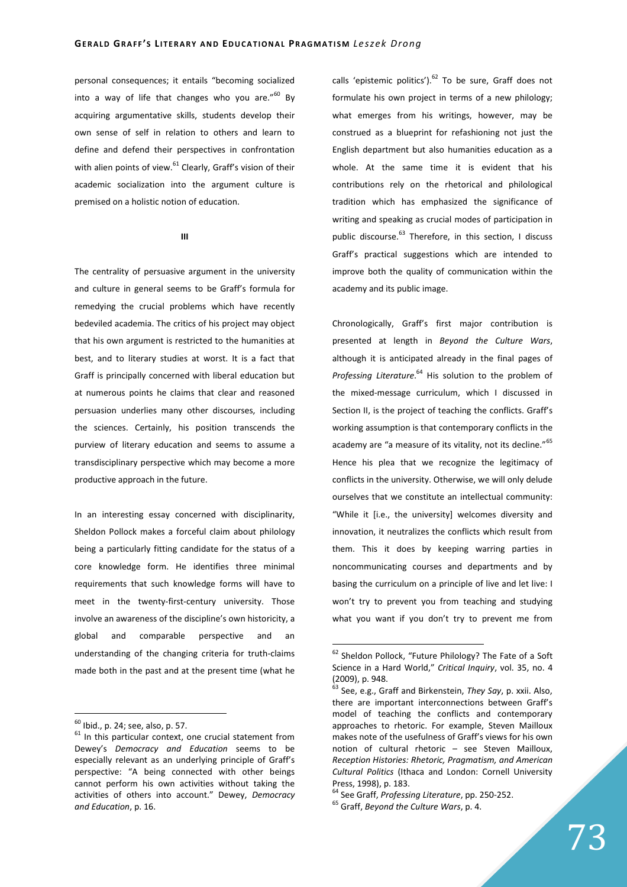personal consequences; it entails "becoming socialized into a way of life that changes who you are. $160$  By acquiring argumentative skills, students develop their own sense of self in relation to others and learn to define and defend their perspectives in confrontation with alien points of view.<sup>61</sup> Clearly, Graff's vision of their academic socialization into the argument culture is premised on a holistic notion of education.

## **III**

The centrality of persuasive argument in the university and culture in general seems to be Graff's formula for remedying the crucial problems which have recently bedeviled academia. The critics of his project may object that his own argument is restricted to the humanities at best, and to literary studies at worst. It is a fact that Graff is principally concerned with liberal education but at numerous points he claims that clear and reasoned persuasion underlies many other discourses, including the sciences. Certainly, his position transcends the purview of literary education and seems to assume a transdisciplinary perspective which may become a more productive approach in the future.

In an interesting essay concerned with disciplinarity, Sheldon Pollock makes a forceful claim about philology being a particularly fitting candidate for the status of a core knowledge form. He identifies three minimal requirements that such knowledge forms will have to meet in the twenty-first-century university. Those involve an awareness of the discipline's own historicity, a global and comparable perspective and an understanding of the changing criteria for truth-claims made both in the past and at the present time (what he

 $\overline{a}$ 

calls 'epistemic politics').  $62$  To be sure, Graff does not formulate his own project in terms of a new philology; what emerges from his writings, however, may be construed as a blueprint for refashioning not just the English department but also humanities education as a whole. At the same time it is evident that his contributions rely on the rhetorical and philological tradition which has emphasized the significance of writing and speaking as crucial modes of participation in public discourse.<sup>63</sup> Therefore, in this section, I discuss Graff's practical suggestions which are intended to improve both the quality of communication within the academy and its public image.

Chronologically, Graff's first major contribution is presented at length in *Beyond the Culture Wars*, although it is anticipated already in the final pages of Professing Literature.<sup>64</sup> His solution to the problem of the mixed-message curriculum, which I discussed in Section II, is the project of teaching the conflicts. Graff's working assumption is that contemporary conflicts in the academy are "a measure of its vitality, not its decline."<sup>65</sup> Hence his plea that we recognize the legitimacy of conflicts in the university. Otherwise, we will only delude ourselves that we constitute an intellectual community: "While it [i.e., the university] welcomes diversity and innovation, it neutralizes the conflicts which result from them. This it does by keeping warring parties in noncommunicating courses and departments and by basing the curriculum on a principle of live and let live: I won't try to prevent you from teaching and studying what you want if you don't try to prevent me from

 $^{60}$  Ibid., p. 24; see, also, p. 57.

 $61$  In this particular context, one crucial statement from Dewey's *Democracy and Education* seems to be especially relevant as an underlying principle of Graff's perspective: "A being connected with other beings cannot perform his own activities without taking the activities of others into account." Dewey, *Democracy and Education*, p. 16.

<sup>&</sup>lt;sup>62</sup> Sheldon Pollock, "Future Philology? The Fate of a Soft Science in a Hard World," *Critical Inquiry*, vol. 35, no. 4  $(2009)$ , p. 948.

<sup>63</sup> See, e.g., Graff and Birkenstein, *They Say*, p. xxii. Also, there are important interconnections between Graff's model of teaching the conflicts and contemporary approaches to rhetoric. For example, Steven Mailloux makes note of the usefulness of Graff's views for his own notion of cultural rhetoric – see Steven Mailloux, *Reception Histories: Rhetoric, Pragmatism, and American Cultural Politics* (Ithaca and London: Cornell University Press, 1998), p. 183.

<sup>64</sup> See Graff, *Professing Literature*, pp. 250-252.

<sup>65</sup> Graff, *Beyond the Culture Wars*, p. 4.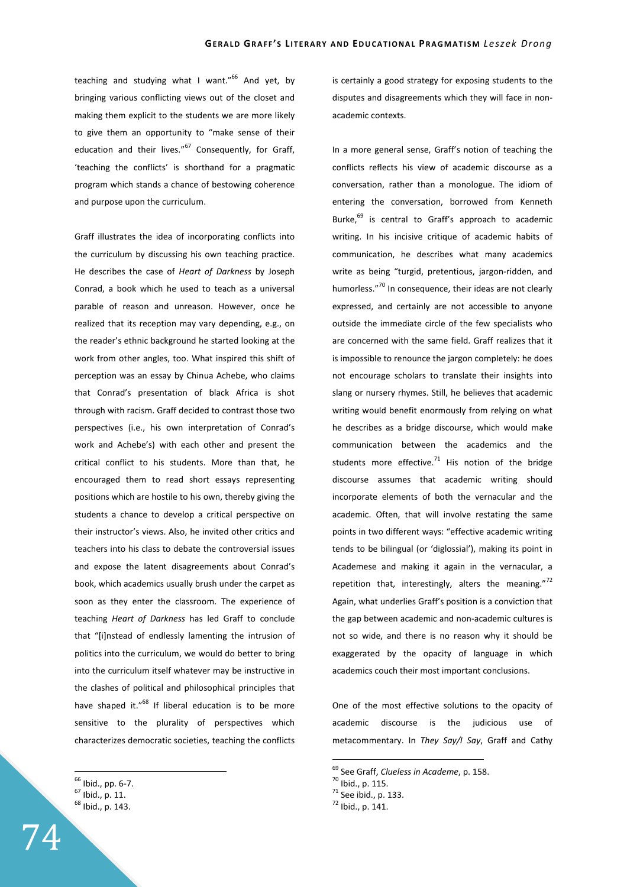teaching and studying what I want." $66$  And yet, by bringing various conflicting views out of the closet and making them explicit to the students we are more likely to give them an opportunity to "make sense of their education and their lives."<sup>67</sup> Consequently, for Graff, 'teaching the conflicts' is shorthand for a pragmatic program which stands a chance of bestowing coherence and purpose upon the curriculum.

Graff illustrates the idea of incorporating conflicts into the curriculum by discussing his own teaching practice. He describes the case of *Heart of Darkness* by Joseph Conrad, a book which he used to teach as a universal parable of reason and unreason. However, once he realized that its reception may vary depending, e.g., on the reader's ethnic background he started looking at the work from other angles, too. What inspired this shift of perception was an essay by Chinua Achebe, who claims that Conrad's presentation of black Africa is shot through with racism. Graff decided to contrast those two perspectives (i.e., his own interpretation of Conrad's work and Achebe's) with each other and present the critical conflict to his students. More than that, he encouraged them to read short essays representing positions which are hostile to his own, thereby giving the students a chance to develop a critical perspective on their instructor's views. Also, he invited other critics and teachers into his class to debate the controversial issues and expose the latent disagreements about Conrad's book, which academics usually brush under the carpet as soon as they enter the classroom. The experience of teaching *Heart of Darkness* has led Graff to conclude that "[i]nstead of endlessly lamenting the intrusion of politics into the curriculum, we would do better to bring into the curriculum itself whatever may be instructive in the clashes of political and philosophical principles that have shaped it."<sup>68</sup> If liberal education is to be more sensitive to the plurality of perspectives which characterizes democratic societies, teaching the conflicts

 $\overline{a}$ 

is certainly a good strategy for exposing students to the disputes and disagreements which they will face in nonacademic contexts.

In a more general sense, Graff's notion of teaching the conflicts reflects his view of academic discourse as a conversation, rather than a monologue. The idiom of entering the conversation, borrowed from Kenneth Burke,<sup>69</sup> is central to Graff's approach to academic writing. In his incisive critique of academic habits of communication, he describes what many academics write as being "turgid, pretentious, jargon-ridden, and humorless."<sup>70</sup> In consequence, their ideas are not clearly expressed, and certainly are not accessible to anyone outside the immediate circle of the few specialists who are concerned with the same field. Graff realizes that it is impossible to renounce the jargon completely: he does not encourage scholars to translate their insights into slang or nursery rhymes. Still, he believes that academic writing would benefit enormously from relying on what he describes as a bridge discourse, which would make communication between the academics and the students more effective.<sup>71</sup> His notion of the bridge discourse assumes that academic writing should incorporate elements of both the vernacular and the academic. Often, that will involve restating the same points in two different ways: "effective academic writing tends to be bilingual (or 'diglossial'), making its point in Academese and making it again in the vernacular, a repetition that, interestingly, alters the meaning."<sup>72</sup> Again, what underlies Graff's position is a conviction that the gap between academic and non-academic cultures is not so wide, and there is no reason why it should be exaggerated by the opacity of language in which academics couch their most important conclusions.

One of the most effective solutions to the opacity of academic discourse is the judicious use of metacommentary. In *They Say/I Say*, Graff and Cathy



<sup>66</sup> Ibid., pp. 6-7.

<sup>67</sup> Ibid., p. 11.

<sup>68</sup> Ibid., p. 143.

<sup>69</sup> See Graff, *Clueless in Academe*, p. 158.

<sup>70</sup> Ibid., p. 115.

<sup>71</sup> See ibid., p. 133.

<sup>72</sup> Ibid., p. 141.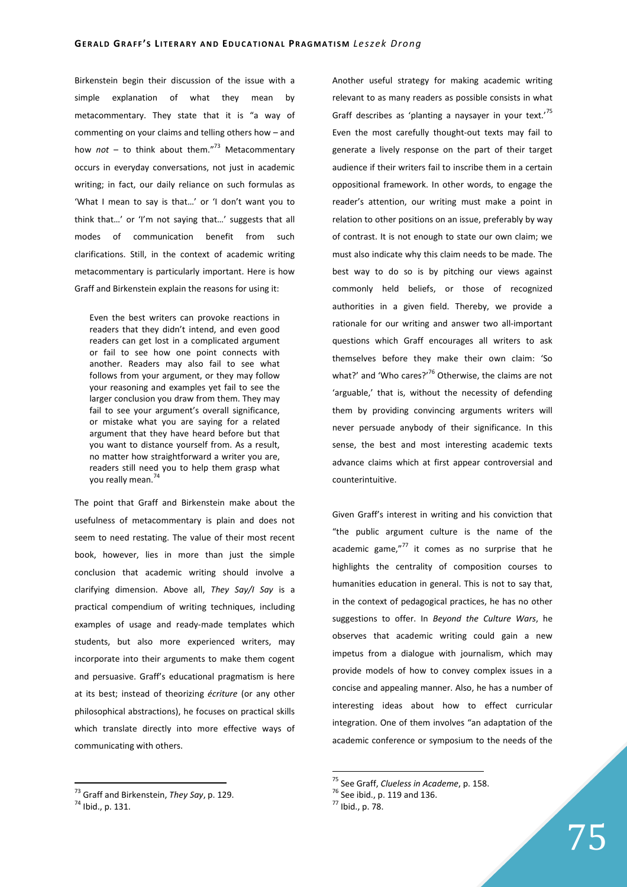Birkenstein begin their discussion of the issue with a simple explanation of what they mean by metacommentary. They state that it is "a way of commenting on your claims and telling others how – and how  $not - to$  think about them."<sup>73</sup> Metacommentary occurs in everyday conversations, not just in academic writing; in fact, our daily reliance on such formulas as 'What I mean to say is that…' or 'I don't want you to think that…' or 'I'm not saying that…' suggests that all modes of communication benefit from such clarifications. Still, in the context of academic writing metacommentary is particularly important. Here is how Graff and Birkenstein explain the reasons for using it:

Even the best writers can provoke reactions in readers that they didn't intend, and even good readers can get lost in a complicated argument or fail to see how one point connects with another. Readers may also fail to see what follows from your argument, or they may follow your reasoning and examples yet fail to see the larger conclusion you draw from them. They may fail to see your argument's overall significance, or mistake what you are saying for a related argument that they have heard before but that you want to distance yourself from. As a result, no matter how straightforward a writer you are, readers still need you to help them grasp what you really mean.<sup>7</sup>

The point that Graff and Birkenstein make about the usefulness of metacommentary is plain and does not seem to need restating. The value of their most recent book, however, lies in more than just the simple conclusion that academic writing should involve a clarifying dimension. Above all, *They Say/I Say* is a practical compendium of writing techniques, including examples of usage and ready-made templates which students, but also more experienced writers, may incorporate into their arguments to make them cogent and persuasive. Graff's educational pragmatism is here at its best; instead of theorizing *écriture* (or any other philosophical abstractions), he focuses on practical skills which translate directly into more effective ways of communicating with others.

 $\overline{a}$ 

Another useful strategy for making academic writing relevant to as many readers as possible consists in what Graff describes as 'planting a naysayer in your text.'<sup>75</sup> Even the most carefully thought-out texts may fail to generate a lively response on the part of their target audience if their writers fail to inscribe them in a certain oppositional framework. In other words, to engage the reader's attention, our writing must make a point in relation to other positions on an issue, preferably by way of contrast. It is not enough to state our own claim; we must also indicate why this claim needs to be made. The best way to do so is by pitching our views against commonly held beliefs, or those of recognized authorities in a given field. Thereby, we provide a rationale for our writing and answer two all-important questions which Graff encourages all writers to ask themselves before they make their own claim: 'So what?' and 'Who cares?' $76$  Otherwise, the claims are not 'arguable,' that is, without the necessity of defending them by providing convincing arguments writers will never persuade anybody of their significance. In this sense, the best and most interesting academic texts advance claims which at first appear controversial and counterintuitive.

Given Graff's interest in writing and his conviction that "the public argument culture is the name of the academic game, $n^{77}$  it comes as no surprise that he highlights the centrality of composition courses to humanities education in general. This is not to say that, in the context of pedagogical practices, he has no other suggestions to offer. In *Beyond the Culture Wars*, he observes that academic writing could gain a new impetus from a dialogue with journalism, which may provide models of how to convey complex issues in a concise and appealing manner. Also, he has a number of interesting ideas about how to effect curricular integration. One of them involves "an adaptation of the academic conference or symposium to the needs of the

<sup>73</sup> Graff and Birkenstein, *They Say*, p. 129.

<sup>74</sup> Ibid., p. 131.

<sup>75</sup> See Graff, *Clueless in Academe*, p. 158.

<sup>76</sup> See ibid., p. 119 and 136.

<sup>77</sup> Ibid., p. 78.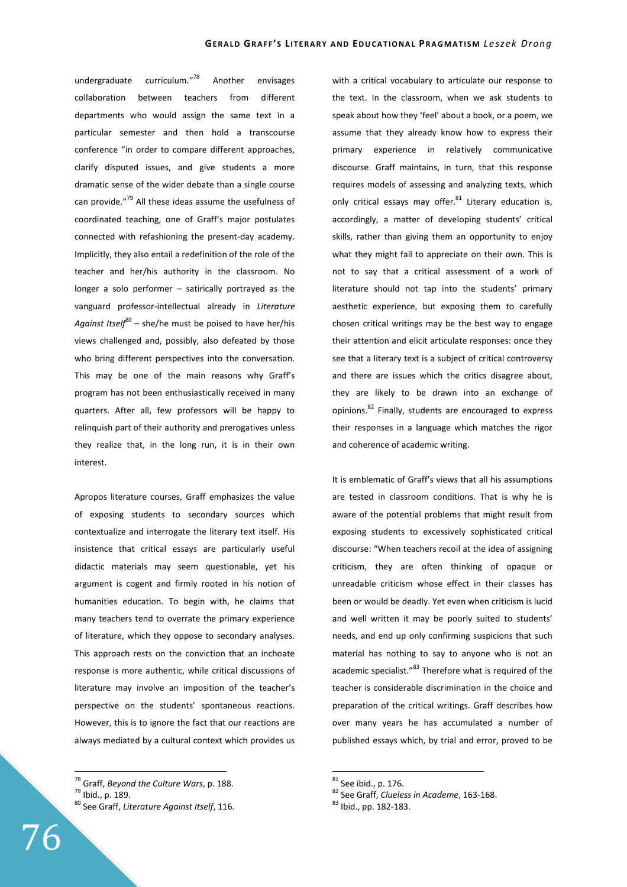undergraduate curriculum."<sup>78</sup> Another envisages collaboration between teachers from different departments who would assign the same text in a particular semester and then hold a transcourse conference "in order to compare different approaches, clarify disputed issues, and give students a more dramatic sense of the wider debate than a single course can provide."<sup>79</sup> All these ideas assume the usefulness of coordinated teaching, one of Graff's major postulates connected with refashioning the present-day academy. Implicitly, they also entail a redefinition of the role of the teacher and her/his authority in the classroom. No longer a solo performer – satirically portrayed as the vanguard professor-intellectual already in *Literature*  Against Itself<sup>80</sup> – she/he must be poised to have her/his views challenged and, possibly, also defeated by those who bring different perspectives into the conversation. This may be one of the main reasons why Graff's program has not been enthusiastically received in many quarters. After all, few professors will be happy to relinquish part of their authority and prerogatives unless they realize that, in the long run, it is in their own interest.

Apropos literature courses, Graff emphasizes the value of exposing students to secondary sources which contextualize and interrogate the literary text itself. His insistence that critical essays are particularly useful didactic materials may seem questionable, yet his argument is cogent and firmly rooted in his notion of humanities education. To begin with, he claims that many teachers tend to overrate the primary experience of literature, which they oppose to secondary analyses. This approach rests on the conviction that an inchoate response is more authentic, while critical discussions of literature may involve an imposition of the teacher's perspective on the students' spontaneous reactions. However, this is to ignore the fact that our reactions are always mediated by a cultural context which provides us with a critical vocabulary to articulate our response to the text. In the classroom, when we ask students to speak about how they 'feel' about a book, or a poem, we assume that they already know how to express their primary experience in relatively communicative discourse. Graff maintains, in turn, that this response requires models of assessing and analyzing texts, which only critical essays may offer.<sup>81</sup> Literary education is, accordingly, a matter of developing students' critical skills, rather than giving them an opportunity to enjoy what they might fail to appreciate on their own. This is not to say that a critical assessment of a work of literature should not tap into the students' primary aesthetic experience, but exposing them to carefully chosen critical writings may be the best way to engage their attention and elicit articulate responses: once they see that a literary text is a subject of critical controversy and there are issues which the critics disagree about, they are likely to be drawn into an exchange of opinions.<sup>82</sup> Finally, students are encouraged to express their responses in a language which matches the rigor and coherence of academic writing.

It is emblematic of Graff's views that all his assumptions are tested in classroom conditions. That is why he is aware of the potential problems that might result from exposing students to excessively sophisticated critical discourse: "When teachers recoil at the idea of assigning criticism, they are often thinking of opaque or unreadable criticism whose effect in their classes has been or would be deadly. Yet even when criticism is lucid and well written it may be poorly suited to students' needs, and end up only confirming suspicions that such material has nothing to say to anyone who is not an academic specialist."<sup>83</sup> Therefore what is required of the teacher is considerable discrimination in the choice and preparation of the critical writings. Graff describes how over many years he has accumulated a number of published essays which, by trial and error, proved to be

 $\overline{a}$ <sup>78</sup> Graff, *Beyond the Culture Wars*, p. 188.

<sup>79</sup> Ibid., p. 189.

<sup>80</sup> See Graff, *Literature Against Itself*, 116.

 $81$  See ibid., p. 176.

<sup>82</sup> See Graff, *Clueless in Academe*, 163-168.

<sup>83</sup> Ibid., pp. 182-183.